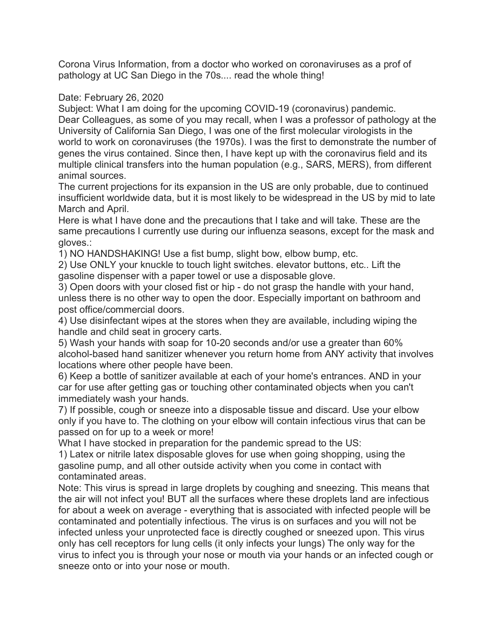Corona Virus Information, from a doctor who worked on coronaviruses as a prof of pathology at UC San Diego in the 70s.... read the whole thing!

## Date: February 26, 2020

Subject: What I am doing for the upcoming COVID-19 (coronavirus) pandemic. Dear Colleagues, as some of you may recall, when I was a professor of pathology at the University of California San Diego, I was one of the first molecular virologists in the world to work on coronaviruses (the 1970s). I was the first to demonstrate the number of genes the virus contained. Since then, I have kept up with the coronavirus field and its multiple clinical transfers into the human population (e.g., SARS, MERS), from different animal sources.

The current projections for its expansion in the US are only probable, due to continued insufficient worldwide data, but it is most likely to be widespread in the US by mid to late March and April.

Here is what I have done and the precautions that I take and will take. These are the same precautions I currently use during our influenza seasons, except for the mask and gloves.:

1) NO HANDSHAKING! Use a fist bump, slight bow, elbow bump, etc.

2) Use ONLY your knuckle to touch light switches. elevator buttons, etc.. Lift the gasoline dispenser with a paper towel or use a disposable glove.

3) Open doors with your closed fist or hip - do not grasp the handle with your hand, unless there is no other way to open the door. Especially important on bathroom and post office/commercial doors.

4) Use disinfectant wipes at the stores when they are available, including wiping the handle and child seat in grocery carts.

5) Wash your hands with soap for 10-20 seconds and/or use a greater than 60% alcohol-based hand sanitizer whenever you return home from ANY activity that involves locations where other people have been.

6) Keep a bottle of sanitizer available at each of your home's entrances. AND in your car for use after getting gas or touching other contaminated objects when you can't immediately wash your hands.

7) If possible, cough or sneeze into a disposable tissue and discard. Use your elbow only if you have to. The clothing on your elbow will contain infectious virus that can be passed on for up to a week or more!

What I have stocked in preparation for the pandemic spread to the US:

1) Latex or nitrile latex disposable gloves for use when going shopping, using the gasoline pump, and all other outside activity when you come in contact with contaminated areas.

Note: This virus is spread in large droplets by coughing and sneezing. This means that the air will not infect you! BUT all the surfaces where these droplets land are infectious for about a week on average - everything that is associated with infected people will be contaminated and potentially infectious. The virus is on surfaces and you will not be infected unless your unprotected face is directly coughed or sneezed upon. This virus only has cell receptors for lung cells (it only infects your lungs) The only way for the virus to infect you is through your nose or mouth via your hands or an infected cough or sneeze onto or into your nose or mouth.